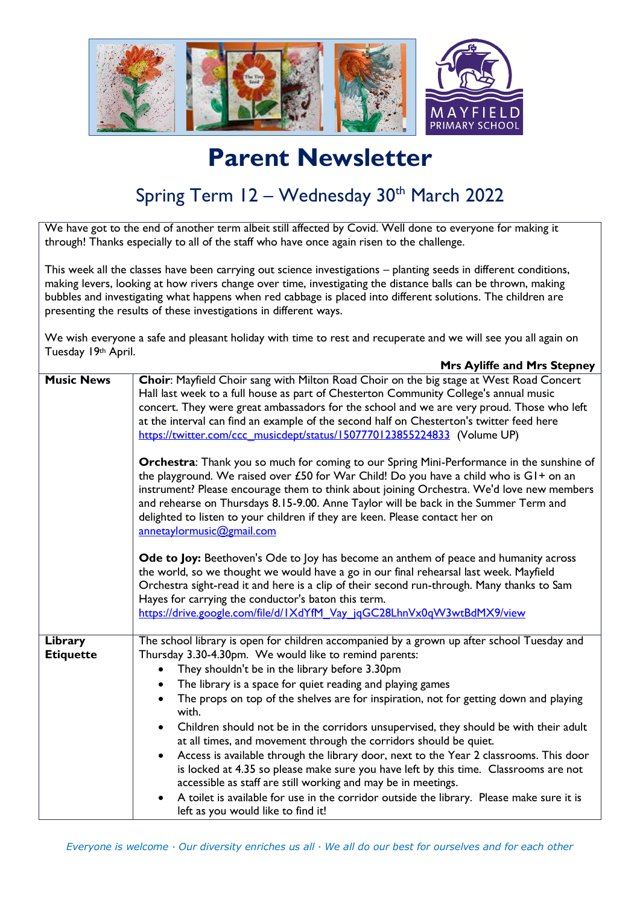

## **Parent Newsletter**

## Spring Term 12 - Wednesday 30<sup>th</sup> March 2022

We have got to the end of another term albeit still affected by Covid. Well done to everyone for making it through! Thanks especially to all of the staff who have once again risen to the challenge.

This week all the classes have been carrying out science investigations – planting seeds in different conditions, making levers, looking at how rivers change over time, investigating the distance balls can be thrown, making bubbles and investigating what happens when red cabbage is placed into different solutions. The children are presenting the results of these investigations in different ways.

We wish everyone a safe and pleasant holiday with time to rest and recuperate and we will see you all again on Tuesday 19th April.

|                             | <b>Mrs Ayliffe and Mrs Stepney</b>                                                                                                                                                                                                                                                                                                                                                                                                                                                                                                                                                                                                                                                                                                                                                                                                                                                                                                                                                                                                                                                                                                                                                                                                                                                                                                                                     |
|-----------------------------|------------------------------------------------------------------------------------------------------------------------------------------------------------------------------------------------------------------------------------------------------------------------------------------------------------------------------------------------------------------------------------------------------------------------------------------------------------------------------------------------------------------------------------------------------------------------------------------------------------------------------------------------------------------------------------------------------------------------------------------------------------------------------------------------------------------------------------------------------------------------------------------------------------------------------------------------------------------------------------------------------------------------------------------------------------------------------------------------------------------------------------------------------------------------------------------------------------------------------------------------------------------------------------------------------------------------------------------------------------------------|
| <b>Music News</b>           | Choir: Mayfield Choir sang with Milton Road Choir on the big stage at West Road Concert<br>Hall last week to a full house as part of Chesterton Community College's annual music<br>concert. They were great ambassadors for the school and we are very proud. Those who left<br>at the interval can find an example of the second half on Chesterton's twitter feed here<br>https://twitter.com/ccc_musicdept/status/1507770123855224833 (Volume UP)<br>Orchestra: Thank you so much for coming to our Spring Mini-Performance in the sunshine of<br>the playground. We raised over £50 for War Child! Do you have a child who is GI+ on an<br>instrument? Please encourage them to think about joining Orchestra. We'd love new members<br>and rehearse on Thursdays 8.15-9.00. Anne Taylor will be back in the Summer Term and<br>delighted to listen to your children if they are keen. Please contact her on<br>annetaylormusic@gmail.com<br><b>Ode to Joy:</b> Beethoven's Ode to Joy has become an anthem of peace and humanity across<br>the world, so we thought we would have a go in our final rehearsal last week. Mayfield<br>Orchestra sight-read it and here is a clip of their second run-through. Many thanks to Sam<br>Hayes for carrying the conductor's baton this term.<br>https://drive.google.com/file/d/1XdYfM Vay jqGC28LhnVx0qW3wtBdMX9/view |
| Library<br><b>Etiquette</b> | The school library is open for children accompanied by a grown up after school Tuesday and<br>Thursday 3.30-4.30pm. We would like to remind parents:<br>They shouldn't be in the library before 3.30pm<br>The library is a space for quiet reading and playing games<br>The props on top of the shelves are for inspiration, not for getting down and playing<br>with.<br>Children should not be in the corridors unsupervised, they should be with their adult<br>at all times, and movement through the corridors should be quiet.<br>Access is available through the library door, next to the Year 2 classrooms. This door<br>$\bullet$<br>is locked at 4.35 so please make sure you have left by this time. Classrooms are not<br>accessible as staff are still working and may be in meetings.<br>A toilet is available for use in the corridor outside the library. Please make sure it is<br>left as you would like to find it!                                                                                                                                                                                                                                                                                                                                                                                                                                |